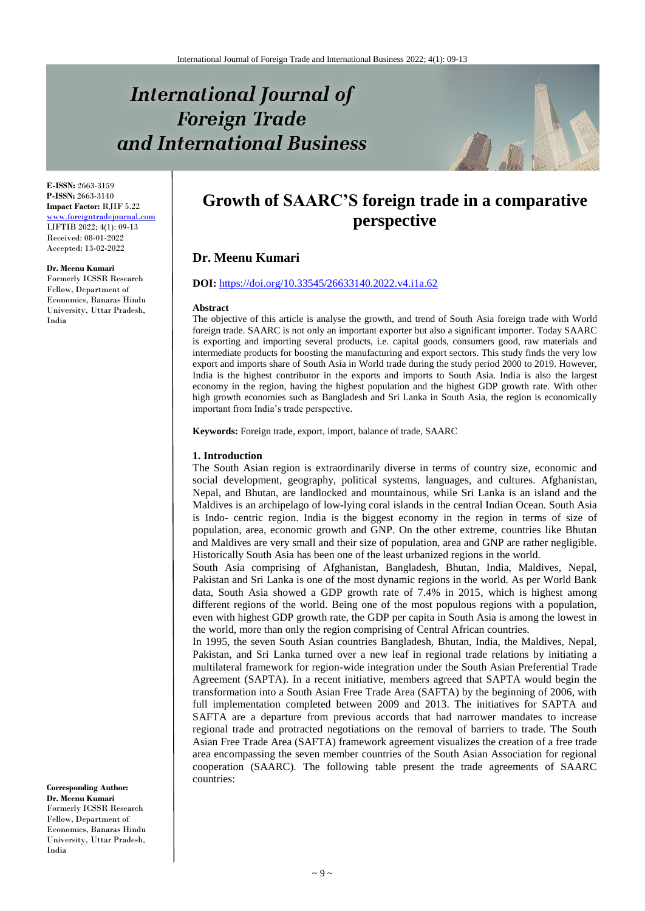# **International Journal of Foreign Trade** and International Business



**E-ISSN:** 2663-3159 **P-ISSN:** 2663-3140 **Impact Factor:** RJIF 5.22 [www.foreigntradejournal.com](http://www.foreigntradejournal.com/) IJFTIB 2022; 4(1): 09-13 Received: 08-01-2022 Accepted: 13-02-2022

**Dr. Meenu Kumari**

Formerly ICSSR Research Fellow, Department of Economics, Banaras Hindu University, Uttar Pradesh, India

**Growth of SAARC'S foreign trade in a comparative perspective**

# **Dr. Meenu Kumari**

# **DOI:** <https://doi.org/10.33545/26633140.2022.v4.i1a.62>

#### **Abstract**

The objective of this article is analyse the growth, and trend of South Asia foreign trade with World foreign trade. SAARC is not only an important exporter but also a significant importer. Today SAARC is exporting and importing several products, i.e. capital goods, consumers good, raw materials and intermediate products for boosting the manufacturing and export sectors. This study finds the very low export and imports share of South Asia in World trade during the study period 2000 to 2019. However, India is the highest contributor in the exports and imports to South Asia. India is also the largest economy in the region, having the highest population and the highest GDP growth rate. With other high growth economies such as Bangladesh and Sri Lanka in South Asia, the region is economically important from India's trade perspective.

**Keywords:** Foreign trade, export, import, balance of trade, SAARC

#### **1. Introduction**

The South Asian region is extraordinarily diverse in terms of country size, economic and social development, geography, political systems, languages, and cultures. Afghanistan, Nepal, and Bhutan, are landlocked and mountainous, while Sri Lanka is an island and the Maldives is an archipelago of low-lying coral islands in the central Indian Ocean. South Asia is Indo- centric region. India is the biggest economy in the region in terms of size of population, area, economic growth and GNP. On the other extreme, countries like Bhutan and Maldives are very small and their size of population, area and GNP are rather negligible. Historically South Asia has been one of the least urbanized regions in the world.

South Asia comprising of Afghanistan, Bangladesh, Bhutan, India, Maldives, Nepal, Pakistan and Sri Lanka is one of the most dynamic regions in the world. As per World Bank data, South Asia showed a GDP growth rate of 7.4% in 2015, which is highest among different regions of the world. Being one of the most populous regions with a population, even with highest GDP growth rate, the GDP per capita in South Asia is among the lowest in the world, more than only the region comprising of Central African countries.

In 1995, the seven South Asian countries Bangladesh, Bhutan, India, the Maldives, Nepal, Pakistan, and Sri Lanka turned over a new leaf in regional trade relations by initiating a multilateral framework for region-wide integration under the South Asian Preferential Trade Agreement (SAPTA). In a recent initiative, members agreed that SAPTA would begin the transformation into a South Asian Free Trade Area (SAFTA) by the beginning of 2006, with full implementation completed between 2009 and 2013. The initiatives for SAPTA and SAFTA are a departure from previous accords that had narrower mandates to increase regional trade and protracted negotiations on the removal of barriers to trade. The South Asian Free Trade Area (SAFTA) framework agreement visualizes the creation of a free trade area encompassing the seven member countries of the South Asian Association for regional cooperation (SAARC). The following table present the trade agreements of SAARC countries:

**Corresponding Author: Dr. Meenu Kumari** Formerly ICSSR Research Fellow, Department of Economics, Banaras Hindu University, Uttar Pradesh, India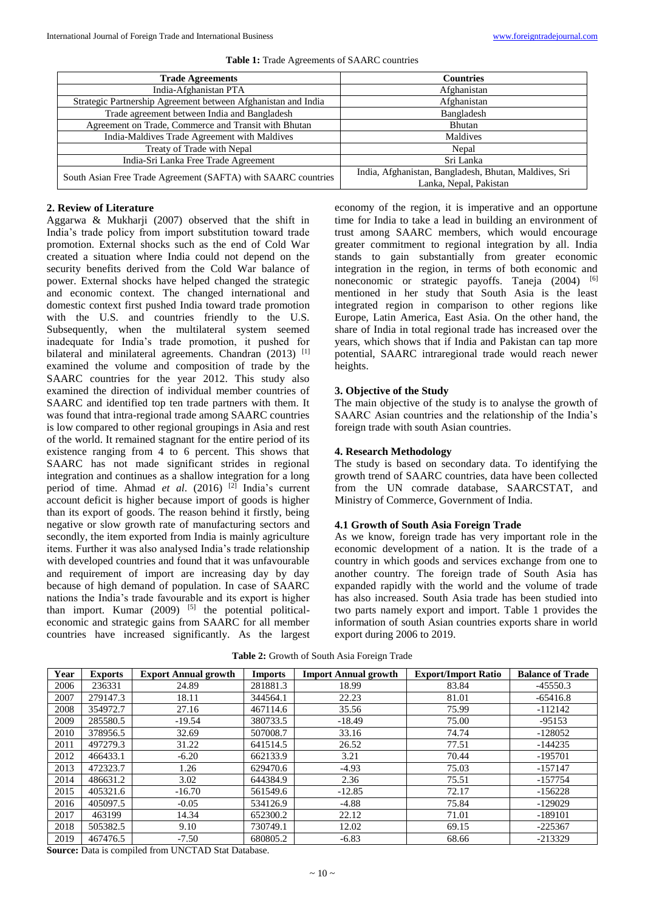| <b>Trade Agreements</b>                                       | <b>Countries</b>                                      |  |  |
|---------------------------------------------------------------|-------------------------------------------------------|--|--|
| India-Afghanistan PTA                                         | Afghanistan                                           |  |  |
| Strategic Partnership Agreement between Afghanistan and India | Afghanistan                                           |  |  |
| Trade agreement between India and Bangladesh                  | Bangladesh                                            |  |  |
| Agreement on Trade, Commerce and Transit with Bhutan          | Bhutan                                                |  |  |
| India-Maldives Trade Agreement with Maldives                  | Maldives                                              |  |  |
| Treaty of Trade with Nepal                                    | Nepal                                                 |  |  |
| India-Sri Lanka Free Trade Agreement                          | Sri Lanka                                             |  |  |
| South Asian Free Trade Agreement (SAFTA) with SAARC countries | India, Afghanistan, Bangladesh, Bhutan, Maldives, Sri |  |  |
|                                                               | Lanka, Nepal, Pakistan                                |  |  |

#### **Table 1:** Trade Agreements of SAARC countries

# **2. Review of Literature**

Aggarwa & Mukharji (2007) observed that the shift in India's trade policy from import substitution toward trade promotion. External shocks such as the end of Cold War created a situation where India could not depend on the security benefits derived from the Cold War balance of power. External shocks have helped changed the strategic and economic context. The changed international and domestic context first pushed India toward trade promotion with the U.S. and countries friendly to the U.S. Subsequently, when the multilateral system seemed inadequate for India's trade promotion, it pushed for bilateral and minilateral agreements. Chandran (2013) [1] examined the volume and composition of trade by the SAARC countries for the year 2012. This study also examined the direction of individual member countries of SAARC and identified top ten trade partners with them. It was found that intra-regional trade among SAARC countries is low compared to other regional groupings in Asia and rest of the world. It remained stagnant for the entire period of its existence ranging from 4 to 6 percent. This shows that SAARC has not made significant strides in regional integration and continues as a shallow integration for a long period of time. Ahmad *et al*. (2016) [2] India's current account deficit is higher because import of goods is higher than its export of goods. The reason behind it firstly, being negative or slow growth rate of manufacturing sectors and secondly, the item exported from India is mainly agriculture items. Further it was also analysed India's trade relationship with developed countries and found that it was unfavourable and requirement of import are increasing day by day because of high demand of population. In case of SAARC nations the India's trade favourable and its export is higher than import. Kumar  $(2009)$  <sup>[5]</sup> the potential politicaleconomic and strategic gains from SAARC for all member countries have increased significantly. As the largest economy of the region, it is imperative and an opportune time for India to take a lead in building an environment of trust among SAARC members, which would encourage greater commitment to regional integration by all. India stands to gain substantially from greater economic integration in the region, in terms of both economic and noneconomic or strategic payoffs. Taneja (2004) <sup>[6]</sup> mentioned in her study that South Asia is the least integrated region in comparison to other regions like Europe, Latin America, East Asia. On the other hand, the share of India in total regional trade has increased over the years, which shows that if India and Pakistan can tap more potential, SAARC intraregional trade would reach newer heights.

# **3. Objective of the Study**

The main objective of the study is to analyse the growth of SAARC Asian countries and the relationship of the India's foreign trade with south Asian countries.

#### **4. Research Methodology**

The study is based on secondary data. To identifying the growth trend of SAARC countries, data have been collected from the UN comrade database, SAARCSTAT, and Ministry of Commerce, Government of India.

# **4.1 Growth of South Asia Foreign Trade**

As we know, foreign trade has very important role in the economic development of a nation. It is the trade of a country in which goods and services exchange from one to another country. The foreign trade of South Asia has expanded rapidly with the world and the volume of trade has also increased. South Asia trade has been studied into two parts namely export and import. Table 1 provides the information of south Asian countries exports share in world export during 2006 to 2019.

**Table 2:** Growth of South Asia Foreign Trade

| Year | <b>Exports</b> | <b>Export Annual growth</b> | <b>Imports</b> | <b>Import Annual growth</b> | <b>Export/Import Ratio</b> | <b>Balance of Trade</b> |
|------|----------------|-----------------------------|----------------|-----------------------------|----------------------------|-------------------------|
| 2006 | 236331         | 24.89                       | 281881.3       | 18.99                       | 83.84                      | $-45550.3$              |
| 2007 | 279147.3       | 18.11                       | 344564.1       | 22.23                       | 81.01                      | $-65416.8$              |
| 2008 | 354972.7       | 27.16                       | 467114.6       | 35.56                       | 75.99                      | $-112142$               |
| 2009 | 285580.5       | $-19.54$                    | 380733.5       | $-18.49$                    | 75.00                      | $-95153$                |
| 2010 | 378956.5       | 32.69                       | 507008.7       | 33.16                       | 74.74                      | $-128052$               |
| 2011 | 497279.3       | 31.22                       | 641514.5       | 26.52                       | 77.51                      | $-144235$               |
| 2012 | 466433.1       | $-6.20$                     | 662133.9       | 3.21                        | 70.44                      | $-195701$               |
| 2013 | 472323.7       | 1.26                        | 629470.6       | $-4.93$                     | 75.03                      | $-157147$               |
| 2014 | 486631.2       | 3.02                        | 644384.9       | 2.36                        | 75.51                      | $-157754$               |
| 2015 | 405321.6       | $-16.70$                    | 561549.6       | $-12.85$                    | 72.17                      | $-156228$               |
| 2016 | 405097.5       | $-0.05$                     | 534126.9       | $-4.88$                     | 75.84                      | $-129029$               |
| 2017 | 463199         | 14.34                       | 652300.2       | 22.12                       | 71.01                      | $-189101$               |
| 2018 | 505382.5       | 9.10                        | 730749.1       | 12.02                       | 69.15                      | $-225367$               |
| 2019 | 467476.5       | $-7.50$                     | 680805.2       | $-6.83$                     | 68.66                      | $-213329$               |

**Source:** Data is compiled from UNCTAD Stat Database.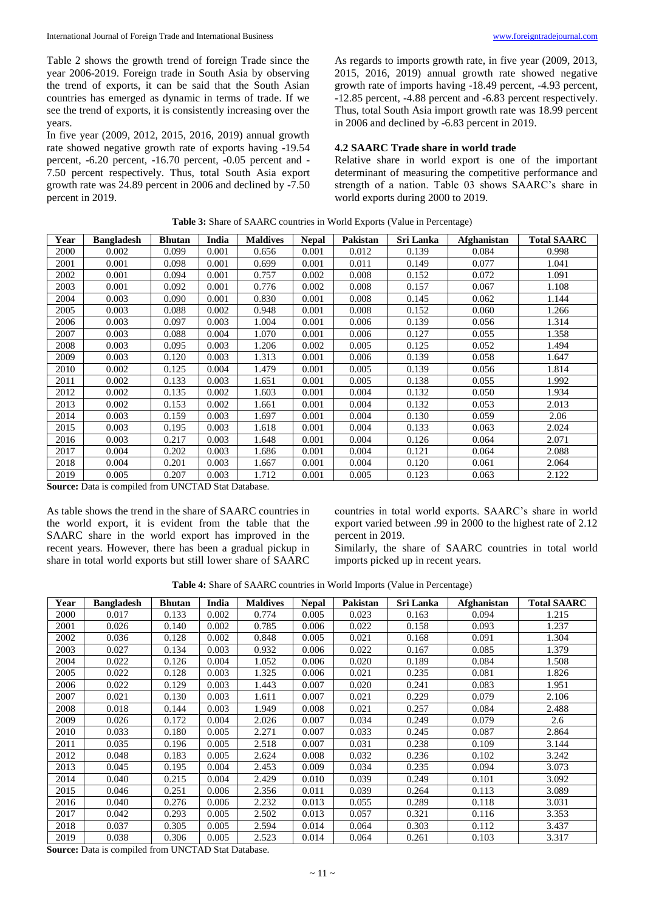Table 2 shows the growth trend of foreign Trade since the year 2006-2019. Foreign trade in South Asia by observing the trend of exports, it can be said that the South Asian countries has emerged as dynamic in terms of trade. If we see the trend of exports, it is consistently increasing over the years.

In five year (2009, 2012, 2015, 2016, 2019) annual growth rate showed negative growth rate of exports having -19.54 percent, -6.20 percent, -16.70 percent, -0.05 percent and - 7.50 percent respectively. Thus, total South Asia export growth rate was 24.89 percent in 2006 and declined by -7.50 percent in 2019.

As regards to imports growth rate, in five year (2009, 2013, 2015, 2016, 2019) annual growth rate showed negative growth rate of imports having -18.49 percent, -4.93 percent, -12.85 percent, -4.88 percent and -6.83 percent respectively. Thus, total South Asia import growth rate was 18.99 percent in 2006 and declined by -6.83 percent in 2019.

# **4.2 SAARC Trade share in world trade**

Relative share in world export is one of the important determinant of measuring the competitive performance and strength of a nation. Table 03 shows SAARC's share in world exports during 2000 to 2019.

| Year | <b>Bangladesh</b> | <b>Bhutan</b> | India | <b>Maldives</b> | <b>Nepal</b> | Pakistan | Sri Lanka | <b>Afghanistan</b> | <b>Total SAARC</b> |
|------|-------------------|---------------|-------|-----------------|--------------|----------|-----------|--------------------|--------------------|
| 2000 | 0.002             | 0.099         | 0.001 | 0.656           | 0.001        | 0.012    | 0.139     | 0.084              | 0.998              |
| 2001 | 0.001             | 0.098         | 0.001 | 0.699           | 0.001        | 0.011    | 0.149     | 0.077              | 1.041              |
| 2002 | 0.001             | 0.094         | 0.001 | 0.757           | 0.002        | 0.008    | 0.152     | 0.072              | 1.091              |
| 2003 | 0.001             | 0.092         | 0.001 | 0.776           | 0.002        | 0.008    | 0.157     | 0.067              | 1.108              |
| 2004 | 0.003             | 0.090         | 0.001 | 0.830           | 0.001        | 0.008    | 0.145     | 0.062              | 1.144              |
| 2005 | 0.003             | 0.088         | 0.002 | 0.948           | 0.001        | 0.008    | 0.152     | 0.060              | 1.266              |
| 2006 | 0.003             | 0.097         | 0.003 | 1.004           | 0.001        | 0.006    | 0.139     | 0.056              | 1.314              |
| 2007 | 0.003             | 0.088         | 0.004 | 1.070           | 0.001        | 0.006    | 0.127     | 0.055              | 1.358              |
| 2008 | 0.003             | 0.095         | 0.003 | 1.206           | 0.002        | 0.005    | 0.125     | 0.052              | 1.494              |
| 2009 | 0.003             | 0.120         | 0.003 | 1.313           | 0.001        | 0.006    | 0.139     | 0.058              | 1.647              |
| 2010 | 0.002             | 0.125         | 0.004 | 1.479           | 0.001        | 0.005    | 0.139     | 0.056              | 1.814              |
| 2011 | 0.002             | 0.133         | 0.003 | 1.651           | 0.001        | 0.005    | 0.138     | 0.055              | 1.992              |
| 2012 | 0.002             | 0.135         | 0.002 | 1.603           | 0.001        | 0.004    | 0.132     | 0.050              | 1.934              |
| 2013 | 0.002             | 0.153         | 0.002 | 1.661           | 0.001        | 0.004    | 0.132     | 0.053              | 2.013              |
| 2014 | 0.003             | 0.159         | 0.003 | 1.697           | 0.001        | 0.004    | 0.130     | 0.059              | 2.06               |
| 2015 | 0.003             | 0.195         | 0.003 | 1.618           | 0.001        | 0.004    | 0.133     | 0.063              | 2.024              |
| 2016 | 0.003             | 0.217         | 0.003 | 1.648           | 0.001        | 0.004    | 0.126     | 0.064              | 2.071              |
| 2017 | 0.004             | 0.202         | 0.003 | 1.686           | 0.001        | 0.004    | 0.121     | 0.064              | 2.088              |
| 2018 | 0.004             | 0.201         | 0.003 | 1.667           | 0.001        | 0.004    | 0.120     | 0.061              | 2.064              |
| 2019 | 0.005             | 0.207         | 0.003 | 1.712           | 0.001        | 0.005    | 0.123     | 0.063              | 2.122              |

**Table 3:** Share of SAARC countries in World Exports (Value in Percentage)

**Source:** Data is compiled from UNCTAD Stat Database.

As table shows the trend in the share of SAARC countries in the world export, it is evident from the table that the SAARC share in the world export has improved in the recent years. However, there has been a gradual pickup in share in total world exports but still lower share of SAARC countries in total world exports. SAARC's share in world export varied between .99 in 2000 to the highest rate of 2.12 percent in 2019.

Similarly, the share of SAARC countries in total world imports picked up in recent years.

**Table 4:** Share of SAARC countries in World Imports (Value in Percentage)

| Year | <b>Bangladesh</b> | <b>Bhutan</b> | India | <b>Maldives</b> | <b>Nepal</b> | Pakistan | Sri Lanka | <b>Afghanistan</b> | <b>Total SAARC</b> |
|------|-------------------|---------------|-------|-----------------|--------------|----------|-----------|--------------------|--------------------|
| 2000 | 0.017             | 0.133         | 0.002 | 0.774           | 0.005        | 0.023    | 0.163     | 0.094              | 1.215              |
| 2001 | 0.026             | 0.140         | 0.002 | 0.785           | 0.006        | 0.022    | 0.158     | 0.093              | 1.237              |
| 2002 | 0.036             | 0.128         | 0.002 | 0.848           | 0.005        | 0.021    | 0.168     | 0.091              | 1.304              |
| 2003 | 0.027             | 0.134         | 0.003 | 0.932           | 0.006        | 0.022    | 0.167     | 0.085              | 1.379              |
| 2004 | 0.022             | 0.126         | 0.004 | 1.052           | 0.006        | 0.020    | 0.189     | 0.084              | 1.508              |
| 2005 | 0.022             | 0.128         | 0.003 | 1.325           | 0.006        | 0.021    | 0.235     | 0.081              | 1.826              |
| 2006 | 0.022             | 0.129         | 0.003 | .443            | 0.007        | 0.020    | 0.241     | 0.083              | 1.951              |
| 2007 | 0.021             | 0.130         | 0.003 | 1.611           | 0.007        | 0.021    | 0.229     | 0.079              | 2.106              |
| 2008 | 0.018             | 0.144         | 0.003 | 1.949           | 0.008        | 0.021    | 0.257     | 0.084              | 2.488              |
| 2009 | 0.026             | 0.172         | 0.004 | 2.026           | 0.007        | 0.034    | 0.249     | 0.079              | 2.6                |
| 2010 | 0.033             | 0.180         | 0.005 | 2.271           | 0.007        | 0.033    | 0.245     | 0.087              | 2.864              |
| 2011 | 0.035             | 0.196         | 0.005 | 2.518           | 0.007        | 0.031    | 0.238     | 0.109              | 3.144              |
| 2012 | 0.048             | 0.183         | 0.005 | 2.624           | 0.008        | 0.032    | 0.236     | 0.102              | 3.242              |
| 2013 | 0.045             | 0.195         | 0.004 | 2.453           | 0.009        | 0.034    | 0.235     | 0.094              | 3.073              |
| 2014 | 0.040             | 0.215         | 0.004 | 2.429           | 0.010        | 0.039    | 0.249     | 0.101              | 3.092              |
| 2015 | 0.046             | 0.251         | 0.006 | 2.356           | 0.011        | 0.039    | 0.264     | 0.113              | 3.089              |
| 2016 | 0.040             | 0.276         | 0.006 | 2.232           | 0.013        | 0.055    | 0.289     | 0.118              | 3.031              |
| 2017 | 0.042             | 0.293         | 0.005 | 2.502           | 0.013        | 0.057    | 0.321     | 0.116              | 3.353              |
| 2018 | 0.037             | 0.305         | 0.005 | 2.594           | 0.014        | 0.064    | 0.303     | 0.112              | 3.437              |
| 2019 | 0.038             | 0.306         | 0.005 | 2.523           | 0.014        | 0.064    | 0.261     | 0.103              | 3.317              |

**Source:** Data is compiled from UNCTAD Stat Database.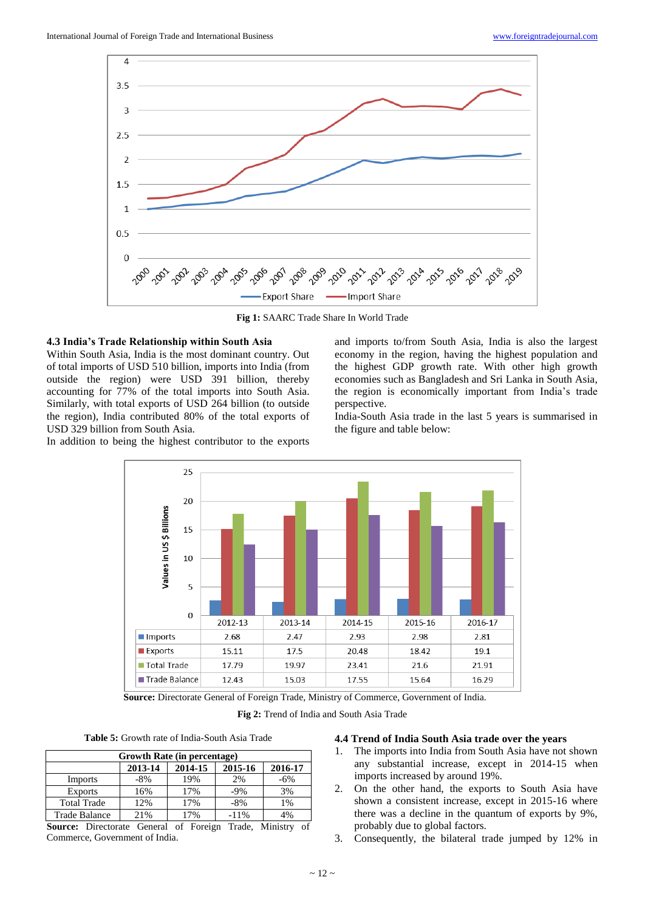

**Fig 1:** SAARC Trade Share In World Trade

#### **4.3 India's Trade Relationship within South Asia**

Within South Asia, India is the most dominant country. Out of total imports of USD 510 billion, imports into India (from outside the region) were USD 391 billion, thereby accounting for 77% of the total imports into South Asia. Similarly, with total exports of USD 264 billion (to outside the region), India contributed 80% of the total exports of USD 329 billion from South Asia.

In addition to being the highest contributor to the exports

and imports to/from South Asia, India is also the largest economy in the region, having the highest population and the highest GDP growth rate. With other high growth economies such as Bangladesh and Sri Lanka in South Asia, the region is economically important from India's trade perspective.

India-South Asia trade in the last 5 years is summarised in the figure and table below:



**Source:** Directorate General of Foreign Trade, Ministry of Commerce, Government of India.

**Fig 2:** Trend of India and South Asia Trade

**Table 5:** Growth rate of India-South Asia Trade

| Growth Rate (in percentage) |         |         |         |         |  |  |  |
|-----------------------------|---------|---------|---------|---------|--|--|--|
|                             | 2013-14 | 2014-15 | 2015-16 | 2016-17 |  |  |  |
| Imports                     | $-8%$   | 19%     | 2%      | $-6%$   |  |  |  |
| <b>Exports</b>              | 16%     | 17%     | $-9\%$  | 3%      |  |  |  |
| <b>Total Trade</b>          | 12%     | 17%     | $-8\%$  | 1%      |  |  |  |
| Trade Balance               | 21%     | 17%     | $-11\%$ | 4%      |  |  |  |

**Source:** Directorate General of Foreign Trade, Ministry of Commerce, Government of India.

# **4.4 Trend of India South Asia trade over the years**

- 1. The imports into India from South Asia have not shown any substantial increase, except in 2014-15 when imports increased by around 19%.
- 2. On the other hand, the exports to South Asia have shown a consistent increase, except in 2015-16 where there was a decline in the quantum of exports by 9%, probably due to global factors.
- 3. Consequently, the bilateral trade jumped by 12% in